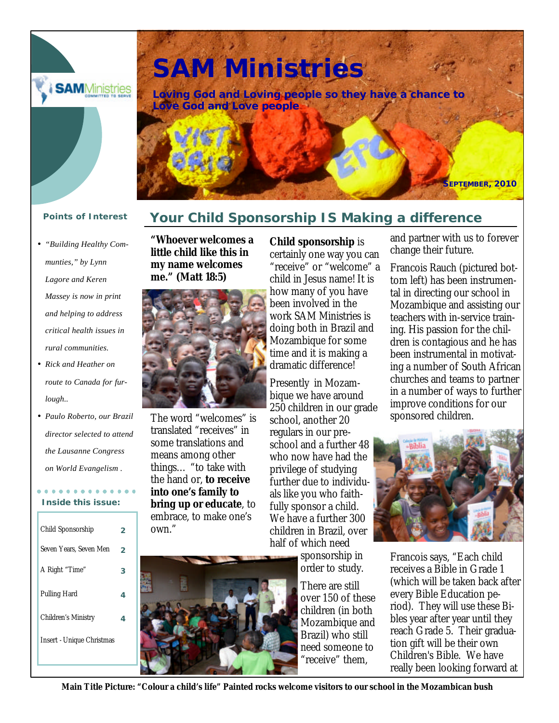

# **SAM Ministries**

**Loving God and Loving people so they have a chance to Love God and Love people**



- *"Building Healthy Communties," by Lynn Lagore and Keren Massey is now in print and helping to address critical health issues in rural communities.*
- *Rick and Heather on route to Canada for furlough..*
- *Paulo Roberto, our Brazil director selected to attend the Lausanne Congress on World Evangelism .*

### **Inside this issue:**

| Child Sponsorship                |   |
|----------------------------------|---|
| Seven Years, Seven Men           | 2 |
| A Right "Time"                   | з |
| <b>Pulling Hard</b>              | 4 |
| Children's Ministry              | 4 |
| <b>Insert - Unique Christmas</b> |   |
|                                  |   |

# **Points of Interest Your Child Sponsorship IS Making a difference**

**"Whoever welcomes a little child like this in my name welcomes me." (Matt 18:5)** 



The word "welcomes" is translated "receives" in some translations and means among other things… "to take with the hand or, **to receive into one's family to bring up or educate**, to embrace, to make one's own."



**Child sponsorship** is certainly one way you can "receive" or "welcome" a child in Jesus name! It is how many of you have been involved in the work SAM Ministries is doing both in Brazil and Mozambique for some time and it is making a dramatic difference!

Presently in Mozambique we have around 250 children in our grade school, another 20 regulars in our preschool and a further 48 who now have had the privilege of studying further due to individuals like you who faithfully sponsor a child. We have a further 300 children in Brazil, over half of which need

sponsorship in order to study.

There are still over 150 of these children (in both Mozambique and Brazil) who still need someone to 'receive" them.

and partner with us to forever change their future.

Francois Rauch (pictured bottom left) has been instrumental in directing our school in Mozambique and assisting our teachers with in-service training. His passion for the children is contagious and he has been instrumental in motivating a number of South African churches and teams to partner in a number of ways to further improve conditions for our sponsored children.



Francois says, "Each child receives a Bible in Grade 1 (which will be taken back after every Bible Education period). They will use these Bibles year after year until they reach Grade 5. Their graduation gift will be their own Children's Bible. We have really been looking forward at

**Main Title Picture: "Colour a child's life" Painted rocks welcome visitors to our school in the Mozambican bush**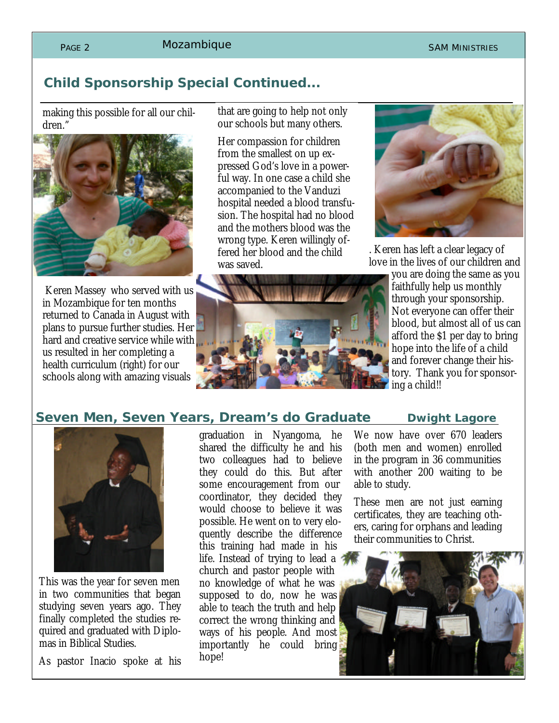#### PAGE 2 MOZAMbique SAM MINISTRIES

# **Child Sponsorship Special Continued...**

making this possible for all our children.'



Keren Massey who served with us in Mozambique for ten months returned to Canada in August with plans to pursue further studies. Her hard and creative service while with us resulted in her completing a health curriculum (right) for our schools along with amazing visuals

that are going to help not only our schools but many others.

Her compassion for children from the smallest on up expressed God's love in a powerful way. In one case a child she accompanied to the Vanduzi hospital needed a blood transfusion. The hospital had no blood and the mothers blood was the wrong type. Keren willingly offered her blood and the child was saved.



. Keren has left a clear legacy of love in the lives of our children and

> you are doing the same as you faithfully help us monthly through your sponsorship. Not everyone can offer their blood, but almost all of us can afford the \$1 per day to bring hope into the life of a child and forever change their history. Thank you for sponsoring a child!!

#### **Seven Men, Seven Years, Dream's do Graduate business Lagore**



This was the year for seven men in two communities that began studying seven years ago. They finally completed the studies required and graduated with Diplomas in Biblical Studies.

As pastor Inacio spoke at his

graduation in Nyangoma, he shared the difficulty he and his two colleagues had to believe they could do this. But after some encouragement from our coordinator, they decided they would choose to believe it was possible. He went on to very eloquently describe the difference this training had made in his life. Instead of trying to lead a church and pastor people with no knowledge of what he was supposed to do, now he was able to teach the truth and help correct the wrong thinking and ways of his people. And most importantly he could bring hope!

We now have over 670 leaders (both men and women) enrolled in the program in 36 communities with another 200 waiting to be able to study.

These men are not just earning certificates, they are teaching others, caring for orphans and leading their communities to Christ.

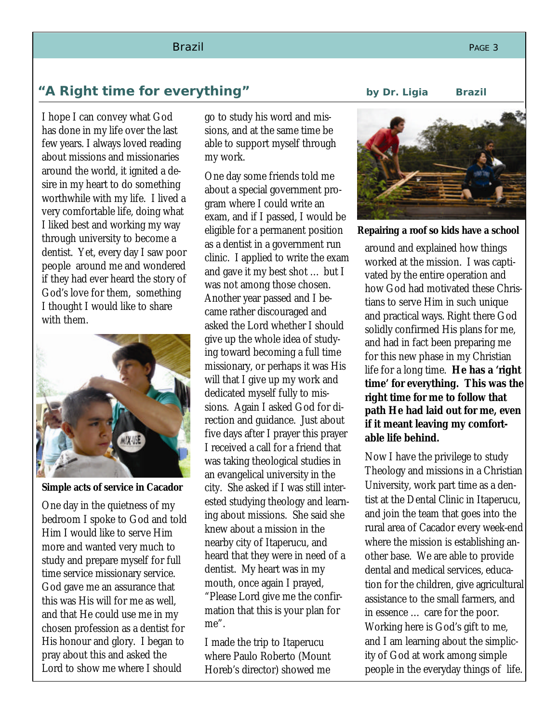# **"A Right time for everything" by Dr. Ligia Brazil**

I hope I can convey what God has done in my life over the last few years. I always loved reading about missions and missionaries around the world, it ignited a desire in my heart to do something worthwhile with my life. I lived a very comfortable life, doing what I liked best and working my way through university to become a dentist. Yet, every day I saw poor people around me and wondered if they had ever heard the story of God's love for them, something I thought I would like to share with them.



**Simple acts of service in Cacador**

One day in the quietness of my bedroom I spoke to God and told Him I would like to serve Him more and wanted very much to study and prepare myself for full time service missionary service. God gave me an assurance that this was His will for me as well, and that He could use me in my chosen profession as a dentist for His honour and glory. I began to pray about this and asked the Lord to show me where I should

go to study his word and missions, and at the same time be able to support myself through my work.

One day some friends told me about a special government program where I could write an exam, and if I passed, I would be eligible for a permanent position as a dentist in a government run clinic. I applied to write the exam and gave it my best shot … but I was not among those chosen. Another year passed and I became rather discouraged and asked the Lord whether I should give up the whole idea of studying toward becoming a full time missionary, or perhaps it was His will that I give up my work and dedicated myself fully to missions. Again I asked God for direction and guidance. Just about five days after I prayer this prayer I received a call for a friend that was taking theological studies in an evangelical university in the city. She asked if I was still interested studying theology and learning about missions. She said she knew about a mission in the nearby city of Itaperucu, and heard that they were in need of a dentist. My heart was in my mouth, once again I prayed, "Please Lord give me the confirmation that this is your plan for me".

I made the trip to Itaperucu where Paulo Roberto (Mount Horeb's director) showed me

**Repairing a roof so kids have a school**

around and explained how things worked at the mission. I was captivated by the entire operation and how God had motivated these Christians to serve Him in such unique and practical ways. Right there God solidly confirmed His plans for me, and had in fact been preparing me for this new phase in my Christian life for a long time. **He has a 'right time' for everything. This was the right time for me to follow that path He had laid out for me, even if it meant leaving my comfortable life behind.** 

Now I have the privilege to study Theology and missions in a Christian University, work part time as a dentist at the Dental Clinic in Itaperucu, and join the team that goes into the rural area of Cacador every week-end where the mission is establishing another base. We are able to provide dental and medical services, education for the children, give agricultural assistance to the small farmers, and in essence … care for the poor. Working here is God's gift to me, and I am learning about the simplicity of God at work among simple people in the everyday things of life.